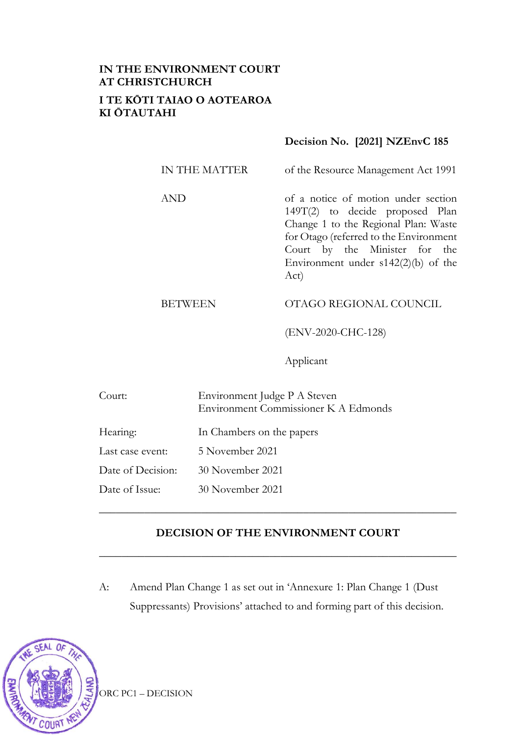# **IN THE ENVIRONMENT COURT AT CHRISTCHURCH I TE KŌTI TAIAO O AOTEAROA KI ŌTAUTAHI**

## **Decision No. [2021] NZEnvC 185**

| IN THE MATTER | of the Resource Management Act 1991                                                                                                                                                                                                        |
|---------------|--------------------------------------------------------------------------------------------------------------------------------------------------------------------------------------------------------------------------------------------|
| <b>AND</b>    | of a notice of motion under section<br>149T(2) to decide proposed Plan<br>Change 1 to the Regional Plan: Waste<br>for Otago (referred to the Environment<br>Court by the Minister for the<br>Environment under $s142(2)(b)$ of the<br>Act) |

# BETWEEN OTAGO REGIONAL COUNCIL

(ENV-2020-CHC-128)

Applicant

| Court:            | Environment Judge P A Steven<br>Environment Commissioner K A Edmonds |
|-------------------|----------------------------------------------------------------------|
| Hearing:          | In Chambers on the papers                                            |
| Last case event:  | 5 November 2021                                                      |
| Date of Decision: | 30 November 2021                                                     |
| Date of Issue:    | 30 November 2021                                                     |

#### **DECISION OF THE ENVIRONMENT COURT**

**\_\_\_\_\_\_\_\_\_\_\_\_\_\_\_\_\_\_\_\_\_\_\_\_\_\_\_\_\_\_\_\_\_\_\_\_\_\_\_\_\_\_\_\_\_\_\_\_\_\_\_\_\_\_\_\_\_\_\_\_\_\_\_**

\_\_\_\_\_\_\_\_\_\_\_\_\_\_\_\_\_\_\_\_\_\_\_\_\_\_\_\_\_\_\_\_\_\_\_\_\_\_\_\_\_\_\_\_\_\_\_\_\_\_\_\_\_\_\_\_\_\_\_\_\_\_\_

A: Amend Plan Change 1 as set out in 'Annexure 1: Plan Change 1 (Dust Suppressants) Provisions' attached to and forming part of this decision.



ORC PC1 – DECISION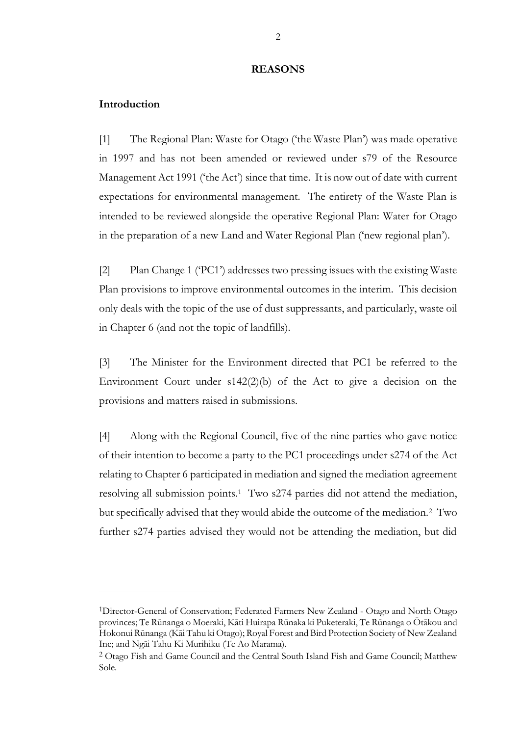#### **REASONS**

#### **Introduction**

[1] The Regional Plan: Waste for Otago ('the Waste Plan') was made operative in 1997 and has not been amended or reviewed under s79 of the Resource Management Act 1991 ('the Act') since that time. It is now out of date with current expectations for environmental management. The entirety of the Waste Plan is intended to be reviewed alongside the operative Regional Plan: Water for Otago in the preparation of a new Land and Water Regional Plan ('new regional plan').

[2] Plan Change 1 ('PC1') addresses two pressing issues with the existing Waste Plan provisions to improve environmental outcomes in the interim. This decision only deals with the topic of the use of dust suppressants, and particularly, waste oil in Chapter 6 (and not the topic of landfills).

[3] The Minister for the Environment directed that PC1 be referred to the Environment Court under s142(2)(b) of the Act to give a decision on the provisions and matters raised in submissions.

[4] Along with the Regional Council, five of the nine parties who gave notice of their intention to become a party to the PC1 proceedings under s274 of the Act relating to Chapter 6 participated in mediation and signed the mediation agreement resolving all submission points. <sup>1</sup> Two s274 parties did not attend the mediation, but specifically advised that they would abide the outcome of the mediation.<sup>2</sup> Two further s274 parties advised they would not be attending the mediation, but did

<sup>1</sup>Director-General of Conservation; Federated Farmers New Zealand - Otago and North Otago provinces; Te Rūnanga o Moeraki, Kāti Huirapa Rūnaka ki Puketeraki, Te Rūnanga o Ōtākou and Hokonui Rūnanga (Kāi Tahu ki Otago); Royal Forest and Bird Protection Society of New Zealand Inc; and Ngāi Tahu Ki Murihiku (Te Ao Marama).

<sup>2</sup> Otago Fish and Game Council and the Central South Island Fish and Game Council; Matthew Sole.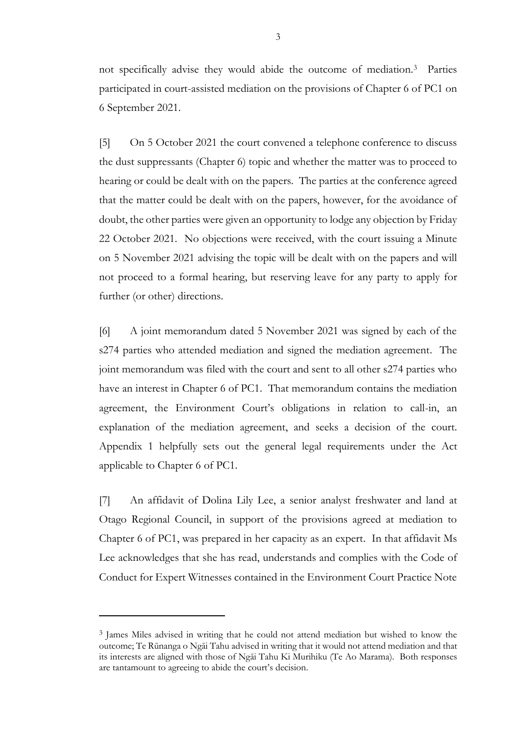not specifically advise they would abide the outcome of mediation.<sup>3</sup> Parties participated in court-assisted mediation on the provisions of Chapter 6 of PC1 on 6 September 2021.

[5] On 5 October 2021 the court convened a telephone conference to discuss the dust suppressants (Chapter 6) topic and whether the matter was to proceed to hearing or could be dealt with on the papers. The parties at the conference agreed that the matter could be dealt with on the papers, however, for the avoidance of doubt, the other parties were given an opportunity to lodge any objection by Friday 22 October 2021. No objections were received, with the court issuing a Minute on 5 November 2021 advising the topic will be dealt with on the papers and will not proceed to a formal hearing, but reserving leave for any party to apply for further (or other) directions.

[6] A joint memorandum dated 5 November 2021 was signed by each of the s274 parties who attended mediation and signed the mediation agreement. The joint memorandum was filed with the court and sent to all other s274 parties who have an interest in Chapter 6 of PC1. That memorandum contains the mediation agreement, the Environment Court's obligations in relation to call-in, an explanation of the mediation agreement, and seeks a decision of the court. Appendix 1 helpfully sets out the general legal requirements under the Act applicable to Chapter 6 of PC1.

[7] An affidavit of Dolina Lily Lee, a senior analyst freshwater and land at Otago Regional Council, in support of the provisions agreed at mediation to Chapter 6 of PC1, was prepared in her capacity as an expert. In that affidavit Ms Lee acknowledges that she has read, understands and complies with the Code of Conduct for Expert Witnesses contained in the Environment Court Practice Note

<sup>&</sup>lt;sup>3</sup> James Miles advised in writing that he could not attend mediation but wished to know the outcome; Te Rūnanga o Ngāi Tahu advised in writing that it would not attend mediation and that its interests are aligned with those of Ngāi Tahu Ki Murihiku (Te Ao Marama). Both responses are tantamount to agreeing to abide the court's decision.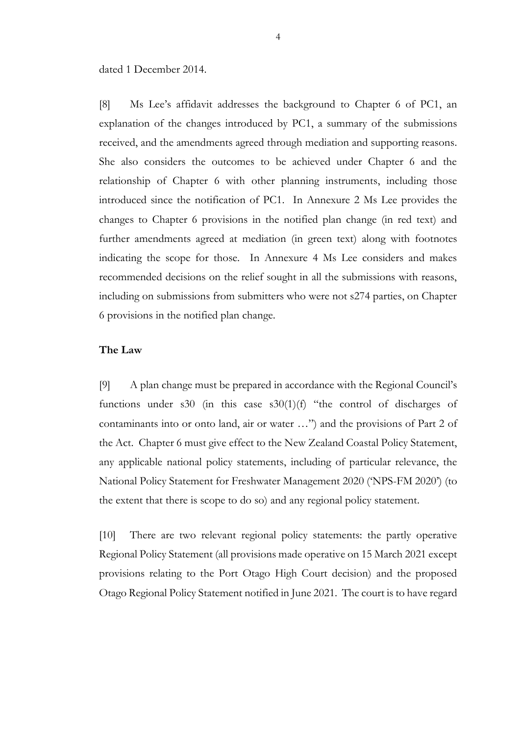dated 1 December 2014.

[8] Ms Lee's affidavit addresses the background to Chapter 6 of PC1, an explanation of the changes introduced by PC1, a summary of the submissions received, and the amendments agreed through mediation and supporting reasons. She also considers the outcomes to be achieved under Chapter 6 and the relationship of Chapter 6 with other planning instruments, including those introduced since the notification of PC1. In Annexure 2 Ms Lee provides the changes to Chapter 6 provisions in the notified plan change (in red text) and further amendments agreed at mediation (in green text) along with footnotes indicating the scope for those. In Annexure 4 Ms Lee considers and makes recommended decisions on the relief sought in all the submissions with reasons, including on submissions from submitters who were not s274 parties, on Chapter 6 provisions in the notified plan change.

#### **The Law**

[9] A plan change must be prepared in accordance with the Regional Council's functions under s30 (in this case s30(1)(f) "the control of discharges of contaminants into or onto land, air or water …") and the provisions of Part 2 of the Act. Chapter 6 must give effect to the New Zealand Coastal Policy Statement, any applicable national policy statements, including of particular relevance, the National Policy Statement for Freshwater Management 2020 ('NPS-FM 2020') (to the extent that there is scope to do so) and any regional policy statement.

[10] There are two relevant regional policy statements: the partly operative Regional Policy Statement (all provisions made operative on 15 March 2021 except provisions relating to the Port Otago High Court decision) and the proposed Otago Regional Policy Statement notified in June 2021. The court is to have regard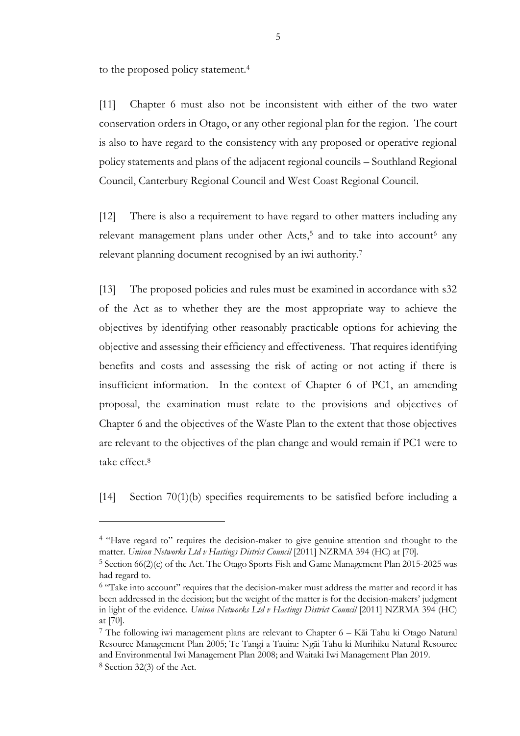to the proposed policy statement.<sup>4</sup>

[11] Chapter 6 must also not be inconsistent with either of the two water conservation orders in Otago, or any other regional plan for the region. The court is also to have regard to the consistency with any proposed or operative regional policy statements and plans of the adjacent regional councils – Southland Regional Council, Canterbury Regional Council and West Coast Regional Council.

[12] There is also a requirement to have regard to other matters including any relevant management plans under other Acts,<sup>5</sup> and to take into account<sup>6</sup> any relevant planning document recognised by an iwi authority. 7

[13] The proposed policies and rules must be examined in accordance with s32 of the Act as to whether they are the most appropriate way to achieve the objectives by identifying other reasonably practicable options for achieving the objective and assessing their efficiency and effectiveness. That requires identifying benefits and costs and assessing the risk of acting or not acting if there is insufficient information. In the context of Chapter 6 of PC1, an amending proposal, the examination must relate to the provisions and objectives of Chapter 6 and the objectives of the Waste Plan to the extent that those objectives are relevant to the objectives of the plan change and would remain if PC1 were to take effect.<sup>8</sup>

[14] Section 70(1)(b) specifies requirements to be satisfied before including a

<sup>4</sup> "Have regard to" requires the decision-maker to give genuine attention and thought to the matter. *Unison Networks Ltd v Hastings District Council* [2011] NZRMA 394 (HC) at [70].

<sup>5</sup> Section 66(2)(c) of the Act. The Otago Sports Fish and Game Management Plan 2015-2025 was had regard to.

<sup>6</sup> "Take into account" requires that the decision-maker must address the matter and record it has been addressed in the decision; but the weight of the matter is for the decision-makers' judgment in light of the evidence. *Unison Networks Ltd v Hastings District Council* [2011] NZRMA 394 (HC) at [70].

<sup>7</sup> The following iwi management plans are relevant to Chapter 6 – Kāi Tahu ki Otago Natural Resource Management Plan 2005; Te Tangi a Tauira: Ngāi Tahu ki Murihiku Natural Resource and Environmental Iwi Management Plan 2008; and Waitaki Iwi Management Plan 2019. 8 Section 32(3) of the Act.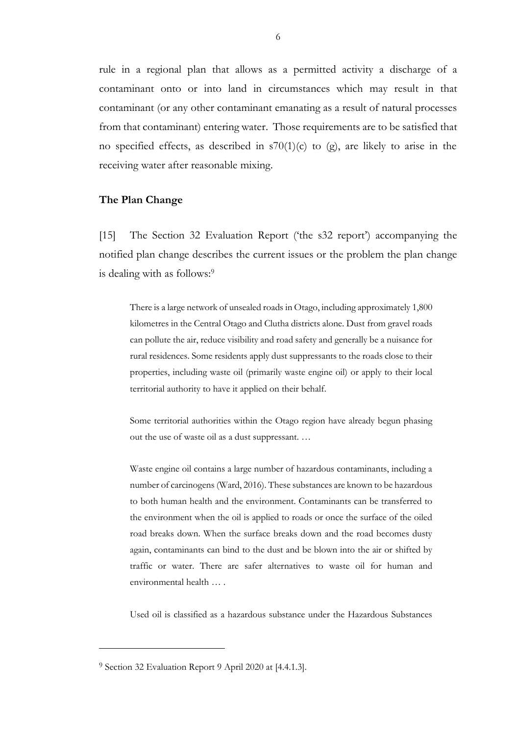rule in a regional plan that allows as a permitted activity a discharge of a contaminant onto or into land in circumstances which may result in that contaminant (or any other contaminant emanating as a result of natural processes from that contaminant) entering water. Those requirements are to be satisfied that no specified effects, as described in  $s70(1)(c)$  to (g), are likely to arise in the receiving water after reasonable mixing.

#### **The Plan Change**

[15] The Section 32 Evaluation Report ('the s32 report') accompanying the notified plan change describes the current issues or the problem the plan change is dealing with as follows:<sup>9</sup>

There is a large network of unsealed roads in Otago, including approximately 1,800 kilometres in the Central Otago and Clutha districts alone. Dust from gravel roads can pollute the air, reduce visibility and road safety and generally be a nuisance for rural residences. Some residents apply dust suppressants to the roads close to their properties, including waste oil (primarily waste engine oil) or apply to their local territorial authority to have it applied on their behalf.

Some territorial authorities within the Otago region have already begun phasing out the use of waste oil as a dust suppressant. …

Waste engine oil contains a large number of hazardous contaminants, including a number of carcinogens (Ward, 2016). These substances are known to be hazardous to both human health and the environment. Contaminants can be transferred to the environment when the oil is applied to roads or once the surface of the oiled road breaks down. When the surface breaks down and the road becomes dusty again, contaminants can bind to the dust and be blown into the air or shifted by traffic or water. There are safer alternatives to waste oil for human and environmental health … .

Used oil is classified as a hazardous substance under the Hazardous Substances

<sup>9</sup> Section 32 Evaluation Report 9 April 2020 at [4.4.1.3].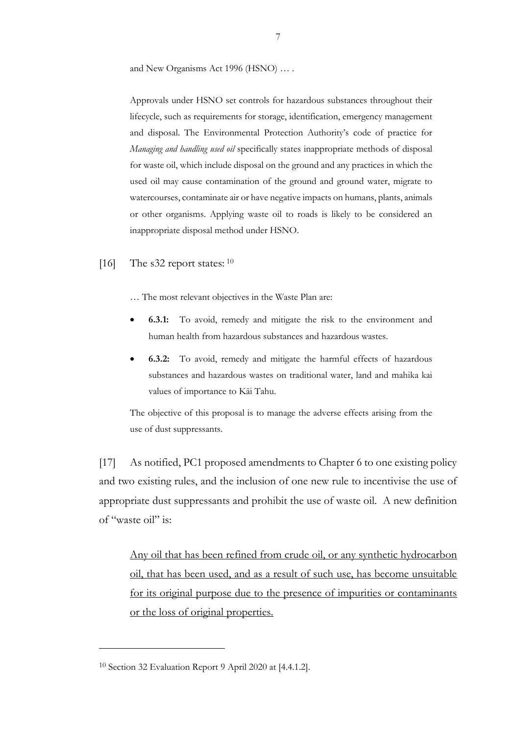and New Organisms Act 1996 (HSNO) … .

Approvals under HSNO set controls for hazardous substances throughout their lifecycle, such as requirements for storage, identification, emergency management and disposal. The Environmental Protection Authority's code of practice for *Managing and handling used oil* specifically states inappropriate methods of disposal for waste oil, which include disposal on the ground and any practices in which the used oil may cause contamination of the ground and ground water, migrate to watercourses, contaminate air or have negative impacts on humans, plants, animals or other organisms. Applying waste oil to roads is likely to be considered an inappropriate disposal method under HSNO.

[16] The s32 report states: <sup>10</sup>

… The most relevant objectives in the Waste Plan are:

- **6.3.1:** To avoid, remedy and mitigate the risk to the environment and human health from hazardous substances and hazardous wastes.
- **6.3.2:** To avoid, remedy and mitigate the harmful effects of hazardous substances and hazardous wastes on traditional water, land and mahika kai values of importance to Kāi Tahu.

The objective of this proposal is to manage the adverse effects arising from the use of dust suppressants.

[17] As notified, PC1 proposed amendments to Chapter 6 to one existing policy and two existing rules, and the inclusion of one new rule to incentivise the use of appropriate dust suppressants and prohibit the use of waste oil. A new definition of "waste oil" is:

Any oil that has been refined from crude oil, or any synthetic hydrocarbon oil, that has been used, and as a result of such use, has become unsuitable for its original purpose due to the presence of impurities or contaminants or the loss of original properties.

<sup>10</sup> Section 32 Evaluation Report 9 April 2020 at [4.4.1.2].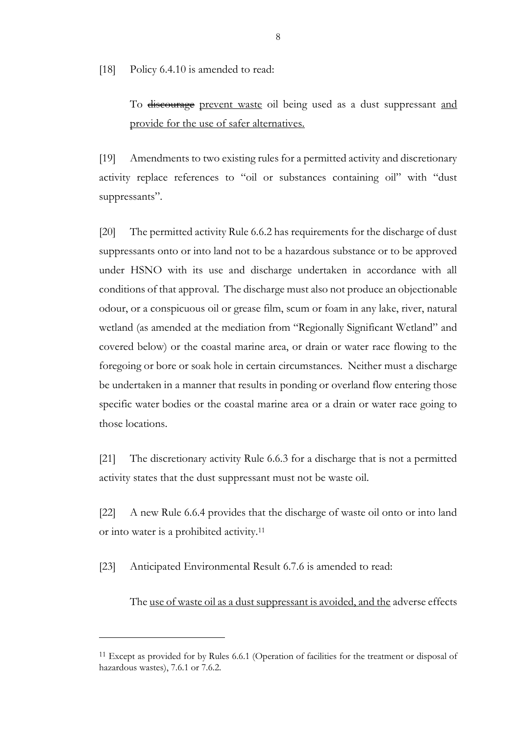[18] Policy 6.4.10 is amended to read:

To discourage prevent waste oil being used as a dust suppressant and provide for the use of safer alternatives.

[19] Amendments to two existing rules for a permitted activity and discretionary activity replace references to "oil or substances containing oil" with "dust suppressants".

[20] The permitted activity Rule 6.6.2 has requirements for the discharge of dust suppressants onto or into land not to be a hazardous substance or to be approved under HSNO with its use and discharge undertaken in accordance with all conditions of that approval. The discharge must also not produce an objectionable odour, or a conspicuous oil or grease film, scum or foam in any lake, river, natural wetland (as amended at the mediation from "Regionally Significant Wetland" and covered below) or the coastal marine area, or drain or water race flowing to the foregoing or bore or soak hole in certain circumstances. Neither must a discharge be undertaken in a manner that results in ponding or overland flow entering those specific water bodies or the coastal marine area or a drain or water race going to those locations.

[21] The discretionary activity Rule 6.6.3 for a discharge that is not a permitted activity states that the dust suppressant must not be waste oil.

[22] A new Rule 6.6.4 provides that the discharge of waste oil onto or into land or into water is a prohibited activity.<sup>11</sup>

[23] Anticipated Environmental Result 6.7.6 is amended to read:

The use of waste oil as a dust suppressant is avoided, and the adverse effects

<sup>&</sup>lt;sup>11</sup> Except as provided for by Rules 6.6.1 (Operation of facilities for the treatment or disposal of hazardous wastes), 7.6.1 or 7.6.2.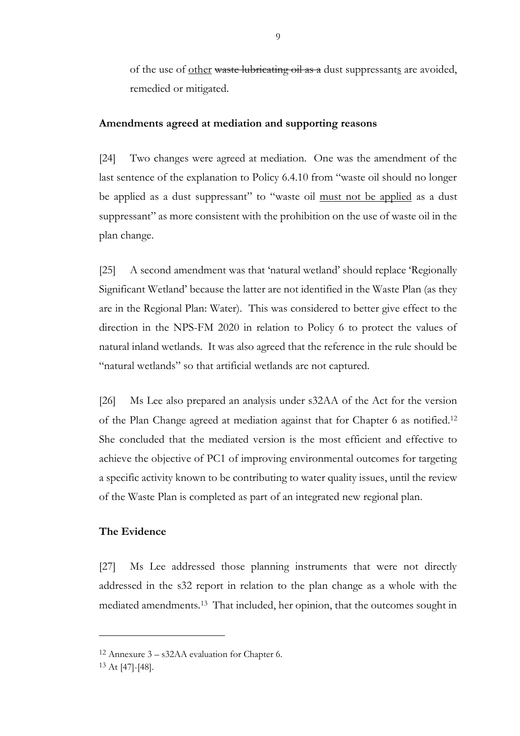of the use of other waste lubricating oil as a dust suppressants are avoided, remedied or mitigated.

#### **Amendments agreed at mediation and supporting reasons**

[24] Two changes were agreed at mediation. One was the amendment of the last sentence of the explanation to Policy 6.4.10 from "waste oil should no longer be applied as a dust suppressant" to "waste oil must not be applied as a dust suppressant" as more consistent with the prohibition on the use of waste oil in the plan change.

[25] A second amendment was that 'natural wetland' should replace 'Regionally Significant Wetland' because the latter are not identified in the Waste Plan (as they are in the Regional Plan: Water). This was considered to better give effect to the direction in the NPS-FM 2020 in relation to Policy 6 to protect the values of natural inland wetlands. It was also agreed that the reference in the rule should be "natural wetlands" so that artificial wetlands are not captured.

[26] Ms Lee also prepared an analysis under s32AA of the Act for the version of the Plan Change agreed at mediation against that for Chapter 6 as notified.<sup>12</sup> She concluded that the mediated version is the most efficient and effective to achieve the objective of PC1 of improving environmental outcomes for targeting a specific activity known to be contributing to water quality issues, until the review of the Waste Plan is completed as part of an integrated new regional plan.

#### **The Evidence**

[27] Ms Lee addressed those planning instruments that were not directly addressed in the s32 report in relation to the plan change as a whole with the mediated amendments.<sup>13</sup> That included, her opinion, that the outcomes sought in

<sup>12</sup> Annexure 3 – s32AA evaluation for Chapter 6.

<sup>13</sup> At [47]-[48].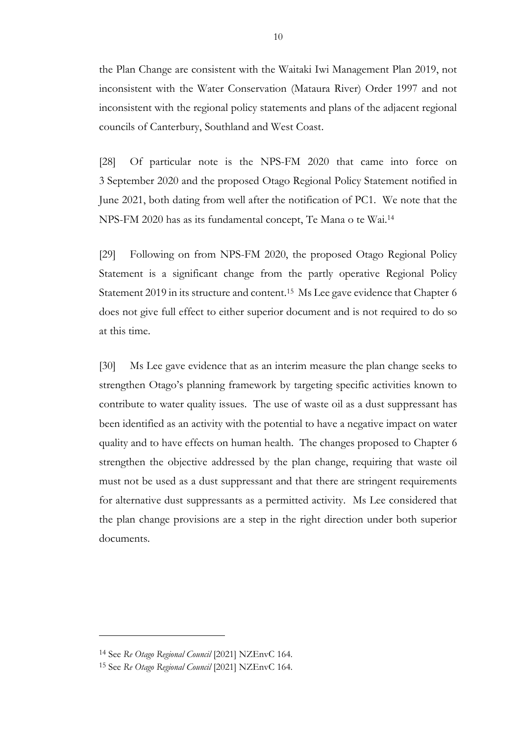the Plan Change are consistent with the Waitaki Iwi Management Plan 2019, not inconsistent with the Water Conservation (Mataura River) Order 1997 and not inconsistent with the regional policy statements and plans of the adjacent regional councils of Canterbury, Southland and West Coast.

[28] Of particular note is the NPS-FM 2020 that came into force on 3 September 2020 and the proposed Otago Regional Policy Statement notified in June 2021, both dating from well after the notification of PC1. We note that the NPS-FM 2020 has as its fundamental concept, Te Mana o te Wai. 14

[29] Following on from NPS-FM 2020, the proposed Otago Regional Policy Statement is a significant change from the partly operative Regional Policy Statement 2019 in its structure and content.<sup>15</sup> Ms Lee gave evidence that Chapter 6 does not give full effect to either superior document and is not required to do so at this time.

[30] Ms Lee gave evidence that as an interim measure the plan change seeks to strengthen Otago's planning framework by targeting specific activities known to contribute to water quality issues. The use of waste oil as a dust suppressant has been identified as an activity with the potential to have a negative impact on water quality and to have effects on human health. The changes proposed to Chapter 6 strengthen the objective addressed by the plan change, requiring that waste oil must not be used as a dust suppressant and that there are stringent requirements for alternative dust suppressants as a permitted activity. Ms Lee considered that the plan change provisions are a step in the right direction under both superior documents.

<sup>14</sup> See *Re Otago Regional Council* [2021] NZEnvC 164.

<sup>15</sup> See *Re Otago Regional Council* [2021] NZEnvC 164.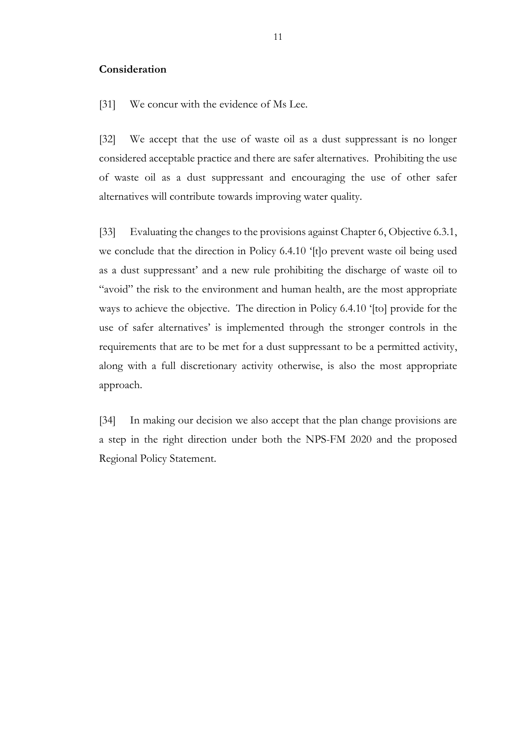#### **Consideration**

[31] We concur with the evidence of Ms Lee.

[32] We accept that the use of waste oil as a dust suppressant is no longer considered acceptable practice and there are safer alternatives. Prohibiting the use of waste oil as a dust suppressant and encouraging the use of other safer alternatives will contribute towards improving water quality.

[33] Evaluating the changes to the provisions against Chapter 6, Objective 6.3.1, we conclude that the direction in Policy 6.4.10 '[t]o prevent waste oil being used as a dust suppressant' and a new rule prohibiting the discharge of waste oil to "avoid" the risk to the environment and human health, are the most appropriate ways to achieve the objective. The direction in Policy 6.4.10 '[to] provide for the use of safer alternatives' is implemented through the stronger controls in the requirements that are to be met for a dust suppressant to be a permitted activity, along with a full discretionary activity otherwise, is also the most appropriate approach.

[34] In making our decision we also accept that the plan change provisions are a step in the right direction under both the NPS-FM 2020 and the proposed Regional Policy Statement.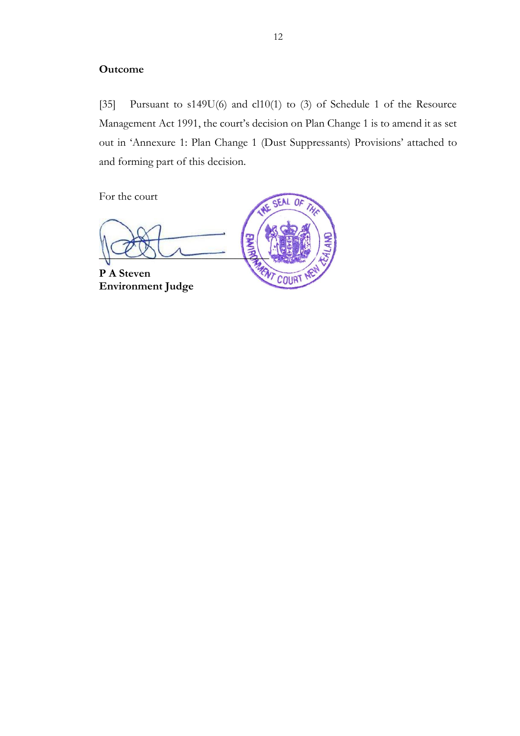#### **Outcome**

[35] Pursuant to s149U(6) and cl10(1) to (3) of Schedule 1 of the Resource Management Act 1991, the court's decision on Plan Change 1 is to amend it as set out in 'Annexure 1: Plan Change 1 (Dust Suppressants) Provisions' attached to and forming part of this decision.

For the court

 $-$  3 **P A Steven**

**Environment Judge**



**ENT COURT**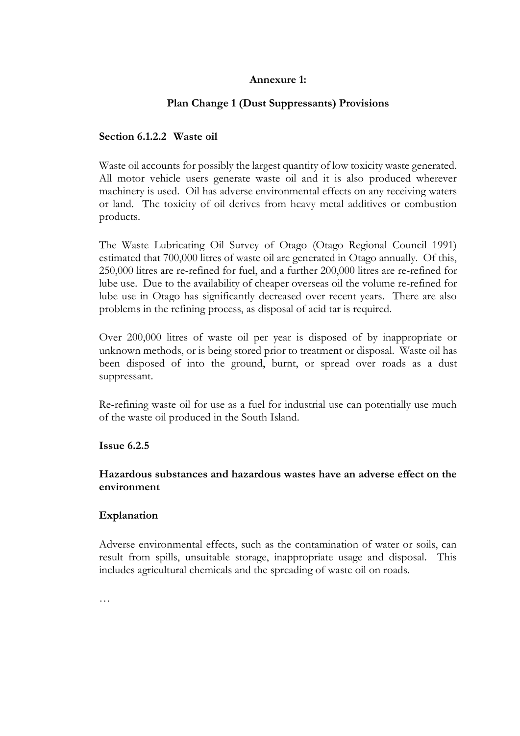## **Annexure 1:**

## **Plan Change 1 (Dust Suppressants) Provisions**

### **Section 6.1.2.2 Waste oil**

Waste oil accounts for possibly the largest quantity of low toxicity waste generated. All motor vehicle users generate waste oil and it is also produced wherever machinery is used. Oil has adverse environmental effects on any receiving waters or land. The toxicity of oil derives from heavy metal additives or combustion products.

The Waste Lubricating Oil Survey of Otago (Otago Regional Council 1991) estimated that 700,000 litres of waste oil are generated in Otago annually. Of this, 250,000 litres are re-refined for fuel, and a further 200,000 litres are re-refined for lube use. Due to the availability of cheaper overseas oil the volume re-refined for lube use in Otago has significantly decreased over recent years. There are also problems in the refining process, as disposal of acid tar is required.

Over 200,000 litres of waste oil per year is disposed of by inappropriate or unknown methods, or is being stored prior to treatment or disposal. Waste oil has been disposed of into the ground, burnt, or spread over roads as a dust suppressant.

Re-refining waste oil for use as a fuel for industrial use can potentially use much of the waste oil produced in the South Island.

#### **Issue 6.2.5**

### **Hazardous substances and hazardous wastes have an adverse effect on the environment**

#### **Explanation**

Adverse environmental effects, such as the contamination of water or soils, can result from spills, unsuitable storage, inappropriate usage and disposal. This includes agricultural chemicals and the spreading of waste oil on roads.

…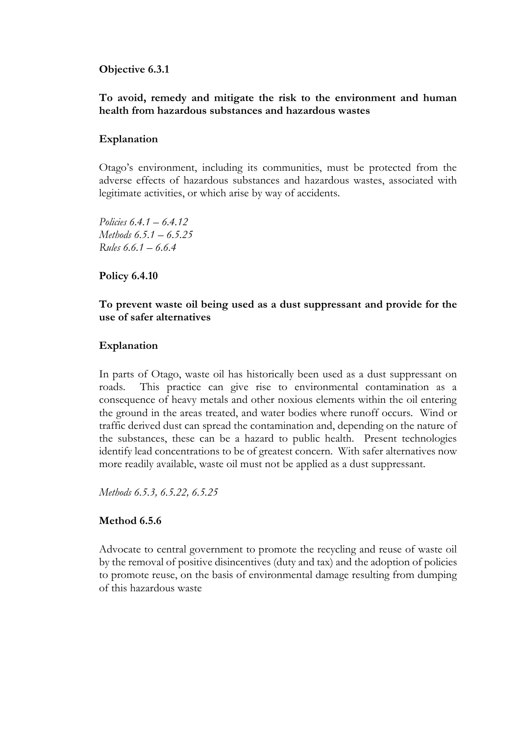#### **Objective 6.3.1**

#### **To avoid, remedy and mitigate the risk to the environment and human health from hazardous substances and hazardous wastes**

#### **Explanation**

Otago's environment, including its communities, must be protected from the adverse effects of hazardous substances and hazardous wastes, associated with legitimate activities, or which arise by way of accidents.

*Policies 6.4.1 – 6.4.12 Methods 6.5.1 – 6.5.25 Rules 6.6.1 – 6.6.4*

#### **Policy 6.4.10**

#### **To prevent waste oil being used as a dust suppressant and provide for the use of safer alternatives**

#### **Explanation**

In parts of Otago, waste oil has historically been used as a dust suppressant on roads. This practice can give rise to environmental contamination as a consequence of heavy metals and other noxious elements within the oil entering the ground in the areas treated, and water bodies where runoff occurs. Wind or traffic derived dust can spread the contamination and, depending on the nature of the substances, these can be a hazard to public health. Present technologies identify lead concentrations to be of greatest concern. With safer alternatives now more readily available, waste oil must not be applied as a dust suppressant.

*Methods 6.5.3, 6.5.22, 6.5.25*

#### **Method 6.5.6**

Advocate to central government to promote the recycling and reuse of waste oil by the removal of positive disincentives (duty and tax) and the adoption of policies to promote reuse, on the basis of environmental damage resulting from dumping of this hazardous waste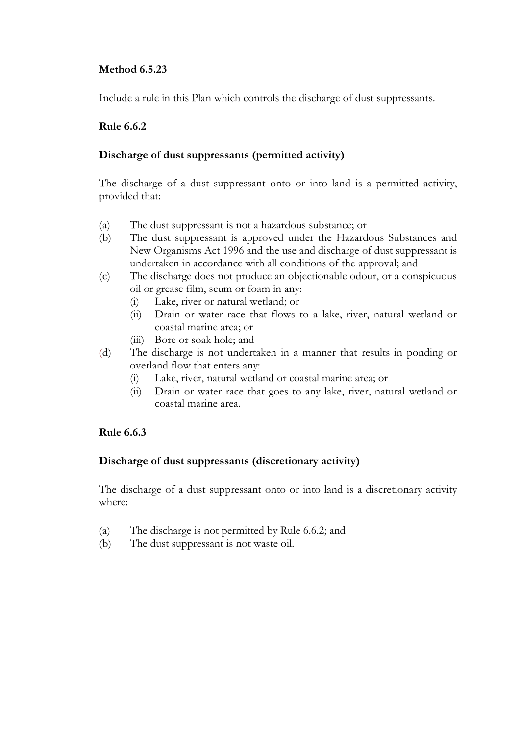### **Method 6.5.23**

Include a rule in this Plan which controls the discharge of dust suppressants.

## **Rule 6.6.2**

### **Discharge of dust suppressants (permitted activity)**

The discharge of a dust suppressant onto or into land is a permitted activity, provided that:

- (a) The dust suppressant is not a hazardous substance; or
- (b) The dust suppressant is approved under the Hazardous Substances and New Organisms Act 1996 and the use and discharge of dust suppressant is undertaken in accordance with all conditions of the approval; and
- (c) The discharge does not produce an objectionable odour, or a conspicuous oil or grease film, scum or foam in any:
	- (i) Lake, river or natural wetland; or
	- (ii) Drain or water race that flows to a lake, river, natural wetland or coastal marine area; or
	- (iii) Bore or soak hole; and
- (d) The discharge is not undertaken in a manner that results in ponding or overland flow that enters any:
	- (i) Lake, river, natural wetland or coastal marine area; or
	- (ii) Drain or water race that goes to any lake, river, natural wetland or coastal marine area.

## **Rule 6.6.3**

#### **Discharge of dust suppressants (discretionary activity)**

The discharge of a dust suppressant onto or into land is a discretionary activity where:

- (a) The discharge is not permitted by Rule 6.6.2; and
- (b) The dust suppressant is not waste oil.